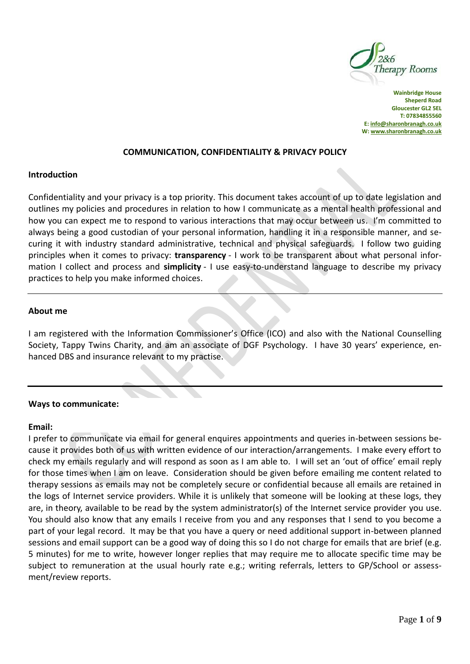

**Wainbridge House Sheperd Road Gloucester GL2 5EL T: 07834855560 E[: info@sharonbranagh.co.uk](mailto:info@sharonbranagh.co.uk) W[: www.sharonbranagh.co.uk](http://www.sharonbranagh.co.uk/)**

#### **COMMUNICATION, CONFIDENTIALITY & PRIVACY POLICY**

#### **Introduction**

Confidentiality and your privacy is a top priority. This document takes account of up to date legislation and outlines my policies and procedures in relation to how I communicate as a mental health professional and how you can expect me to respond to various interactions that may occur between us. I'm committed to always being a good custodian of your personal information, handling it in a responsible manner, and securing it with industry standard administrative, technical and physical safeguards. I follow two guiding principles when it comes to privacy: **transparency** - I work to be transparent about what personal information I collect and process and **simplicity** - I use easy-to-understand language to describe my privacy practices to help you make informed choices.

#### **About me**

I am registered with the Information Commissioner's Office (ICO) and also with the National Counselling Society, Tappy Twins Charity, and am an associate of DGF Psychology. I have 30 years' experience, enhanced DBS and insurance relevant to my practise.

#### **Ways to communicate:**

#### **Email:**

I prefer to communicate via email for general enquires appointments and queries in-between sessions because it provides both of us with written evidence of our interaction/arrangements. I make every effort to check my emails regularly and will respond as soon as I am able to. I will set an 'out of office' email reply for those times when I am on leave. Consideration should be given before emailing me content related to therapy sessions as emails may not be completely secure or confidential because all emails are retained in the logs of Internet service providers. While it is unlikely that someone will be looking at these logs, they are, in theory, available to be read by the system administrator(s) of the Internet service provider you use. You should also know that any emails I receive from you and any responses that I send to you become a part of your legal record. It may be that you have a query or need additional support in-between planned sessions and email support can be a good way of doing this so I do not charge for emails that are brief (e.g. 5 minutes) for me to write, however longer replies that may require me to allocate specific time may be subject to remuneration at the usual hourly rate e.g.; writing referrals, letters to GP/School or assessment/review reports.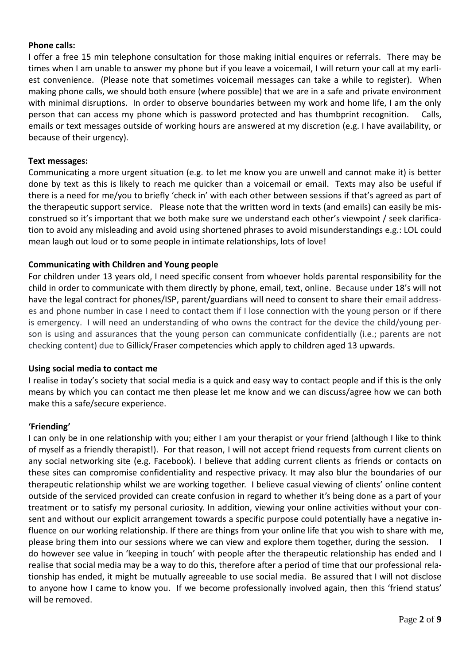## **Phone calls:**

I offer a free 15 min telephone consultation for those making initial enquires or referrals. There may be times when I am unable to answer my phone but if you leave a voicemail, I will return your call at my earliest convenience. (Please note that sometimes voicemail messages can take a while to register). When making phone calls, we should both ensure (where possible) that we are in a safe and private environment with minimal disruptions. In order to observe boundaries between my work and home life, I am the only person that can access my phone which is password protected and has thumbprint recognition. Calls, emails or text messages outside of working hours are answered at my discretion (e.g. I have availability, or because of their urgency).

## **Text messages:**

Communicating a more urgent situation (e.g. to let me know you are unwell and cannot make it) is better done by text as this is likely to reach me quicker than a voicemail or email. Texts may also be useful if there is a need for me/you to briefly 'check in' with each other between sessions if that's agreed as part of the therapeutic support service. Please note that the written word in texts (and emails) can easily be misconstrued so it's important that we both make sure we understand each other's viewpoint / seek clarification to avoid any misleading and avoid using shortened phrases to avoid misunderstandings e.g.: LOL could mean laugh out loud or to some people in intimate relationships, lots of love!

# **Communicating with Children and Young people**

For children under 13 years old, I need specific consent from whoever holds parental responsibility for the child in order to communicate with them directly by phone, email, text, online. Because under 18's will not have the legal contract for phones/ISP, parent/guardians will need to consent to share their email addresses and phone number in case I need to contact them if I lose connection with the young person or if there is emergency. I will need an understanding of who owns the contract for the device the child/young person is using and assurances that the young person can communicate confidentially (i.e.; parents are not checking content) due to Gillick/Fraser competencies which apply to children aged 13 upwards.

### **Using social media to contact me**

I realise in today's society that social media is a quick and easy way to contact people and if this is the only means by which you can contact me then please let me know and we can discuss/agree how we can both make this a safe/secure experience.

# **'Friending'**

I can only be in one relationship with you; either I am your therapist or your friend (although I like to think of myself as a friendly therapist!). For that reason, I will not accept friend requests from current clients on any social networking site (e.g. Facebook). I believe that adding current clients as friends or contacts on these sites can compromise confidentiality and respective privacy. It may also blur the boundaries of our therapeutic relationship whilst we are working together. I believe casual viewing of clients' online content outside of the serviced provided can create confusion in regard to whether it's being done as a part of your treatment or to satisfy my personal curiosity. In addition, viewing your online activities without your consent and without our explicit arrangement towards a specific purpose could potentially have a negative influence on our working relationship. If there are things from your online life that you wish to share with me, please bring them into our sessions where we can view and explore them together, during the session. I do however see value in 'keeping in touch' with people after the therapeutic relationship has ended and I realise that social media may be a way to do this, therefore after a period of time that our professional relationship has ended, it might be mutually agreeable to use social media. Be assured that I will not disclose to anyone how I came to know you. If we become professionally involved again, then this 'friend status' will be removed.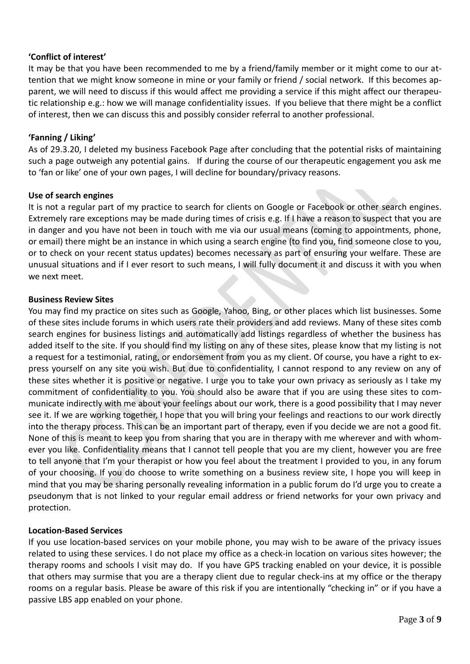# **'Conflict of interest'**

It may be that you have been recommended to me by a friend/family member or it might come to our attention that we might know someone in mine or your family or friend / social network. If this becomes apparent, we will need to discuss if this would affect me providing a service if this might affect our therapeutic relationship e.g.: how we will manage confidentiality issues. If you believe that there might be a conflict of interest, then we can discuss this and possibly consider referral to another professional.

## **'Fanning / Liking'**

As of 29.3.20, I deleted my business Facebook Page after concluding that the potential risks of maintaining such a page outweigh any potential gains. If during the course of our therapeutic engagement you ask me to 'fan or like' one of your own pages, I will decline for boundary/privacy reasons.

#### **Use of search engines**

It is not a regular part of my practice to search for clients on Google or Facebook or other search engines. Extremely rare exceptions may be made during times of crisis e.g. If I have a reason to suspect that you are in danger and you have not been in touch with me via our usual means (coming to appointments, phone, or email) there might be an instance in which using a search engine (to find you, find someone close to you, or to check on your recent status updates) becomes necessary as part of ensuring your welfare. These are unusual situations and if I ever resort to such means, I will fully document it and discuss it with you when we next meet.

#### **Business Review Sites**

You may find my practice on sites such as Google, Yahoo, Bing, or other places which list businesses. Some of these sites include forums in which users rate their providers and add reviews. Many of these sites comb search engines for business listings and automatically add listings regardless of whether the business has added itself to the site. If you should find my listing on any of these sites, please know that my listing is not a request for a testimonial, rating, or endorsement from you as my client. Of course, you have a right to express yourself on any site you wish. But due to confidentiality, I cannot respond to any review on any of these sites whether it is positive or negative. I urge you to take your own privacy as seriously as I take my commitment of confidentiality to you. You should also be aware that if you are using these sites to communicate indirectly with me about your feelings about our work, there is a good possibility that I may never see it. If we are working together, I hope that you will bring your feelings and reactions to our work directly into the therapy process. This can be an important part of therapy, even if you decide we are not a good fit. None of this is meant to keep you from sharing that you are in therapy with me wherever and with whomever you like. Confidentiality means that I cannot tell people that you are my client, however you are free to tell anyone that I'm your therapist or how you feel about the treatment I provided to you, in any forum of your choosing. If you do choose to write something on a business review site, I hope you will keep in mind that you may be sharing personally revealing information in a public forum do I'd urge you to create a pseudonym that is not linked to your regular email address or friend networks for your own privacy and protection.

### **Location-Based Services**

If you use location-based services on your mobile phone, you may wish to be aware of the privacy issues related to using these services. I do not place my office as a check-in location on various sites however; the therapy rooms and schools I visit may do. If you have GPS tracking enabled on your device, it is possible that others may surmise that you are a therapy client due to regular check-ins at my office or the therapy rooms on a regular basis. Please be aware of this risk if you are intentionally "checking in" or if you have a passive LBS app enabled on your phone.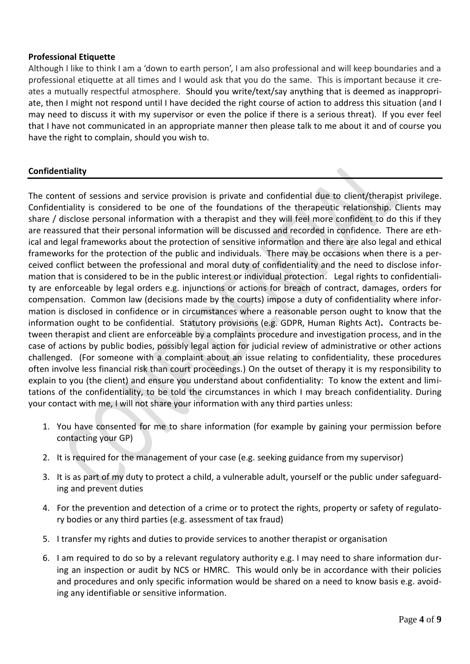## **Professional Etiquette**

Although I like to think I am a 'down to earth person', I am also professional and will keep boundaries and a professional etiquette at all times and I would ask that you do the same. This is important because it creates a mutually respectful atmosphere. Should you write/text/say anything that is deemed as inappropriate, then I might not respond until I have decided the right course of action to address this situation (and I may need to discuss it with my supervisor or even the police if there is a serious threat). If you ever feel that I have not communicated in an appropriate manner then please talk to me about it and of course you have the right to complain, should you wish to.

# **Confidentiality**

The content of sessions and service provision is private and confidential due to client/therapist privilege. Confidentiality is considered to be one of the foundations of the therapeutic relationship. Clients may share / disclose personal information with a therapist and they will feel more confident to do this if they are reassured that their personal information will be discussed and recorded in confidence. There are ethical and legal frameworks about the protection of sensitive information and there are also legal and ethical frameworks for the protection of the public and individuals. There may be occasions when there is a perceived conflict between the professional and moral duty of confidentiality and the need to disclose information that is considered to be in the public interest or individual protection. Legal rights to confidentiality are enforceable by legal orders e.g. injunctions or actions for breach of contract, damages, orders for compensation. Common law (decisions made by the courts) impose a duty of confidentiality where information is disclosed in confidence or in circumstances where a reasonable person ought to know that the information ought to be confidential. Statutory provisions (e.g. GDPR, Human Rights Act)**.** Contracts between therapist and client are enforceable by a complaints procedure and investigation process, and in the case of actions by public bodies, possibly legal action for judicial review of administrative or other actions challenged. (For someone with a complaint about an issue relating to confidentiality, these procedures often involve less financial risk than court proceedings.) On the outset of therapy it is my responsibility to explain to you (the client) and ensure you understand about confidentiality: To know the extent and limitations of the confidentiality, to be told the circumstances in which I may breach confidentiality. During your contact with me, I will not share your information with any third parties unless:

- 1. You have consented for me to share information (for example by gaining your permission before contacting your GP)
- 2. It is required for the management of your case (e.g. seeking guidance from my supervisor)
- 3. It is as part of my duty to protect a child, a vulnerable adult, yourself or the public under safeguarding and prevent duties
- 4. For the prevention and detection of a crime or to protect the rights, property or safety of regulatory bodies or any third parties (e.g. assessment of tax fraud)
- 5. I transfer my rights and duties to provide services to another therapist or organisation
- 6. I am required to do so by a relevant regulatory authority e.g. I may need to share information during an inspection or audit by NCS or HMRC. This would only be in accordance with their policies and procedures and only specific information would be shared on a need to know basis e.g. avoiding any identifiable or sensitive information.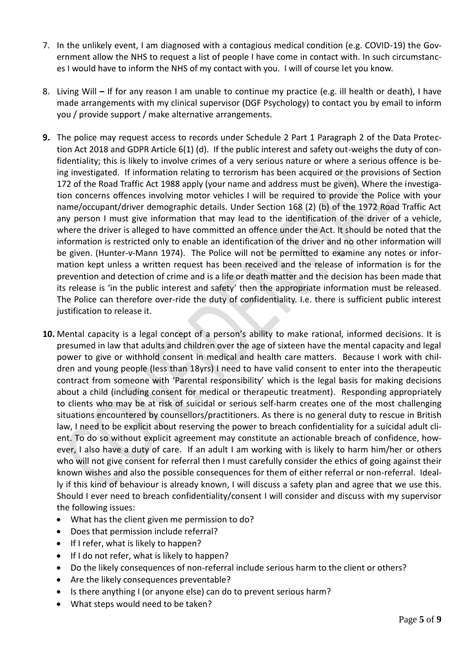- 7. In the unlikely event, I am diagnosed with a contagious medical condition (e.g. COVID-19) the Government allow the NHS to request a list of people I have come in contact with. In such circumstances I would have to inform the NHS of my contact with you. I will of course let you know.
- 8. Living Will **–** If for any reason I am unable to continue my practice (e.g. ill health or death), I have made arrangements with my clinical supervisor (DGF Psychology) to contact you by email to inform you / provide support / make alternative arrangements.
- **9.** The police may request access to records under Schedule 2 Part 1 Paragraph 2 of the Data Protection Act 2018 and GDPR Article 6(1) (d). If the public interest and safety out-weighs the duty of confidentiality; this is likely to involve crimes of a very serious nature or where a serious offence is being investigated. If information relating to terrorism has been acquired or the provisions of Section 172 of the Road Traffic Act 1988 apply (your name and address must be given). Where the investigation concerns offences involving motor vehicles I will be required to provide the Police with your name/occupant/driver demographic details. Under Section 168 (2) (b) of the 1972 Road Traffic Act any person I must give information that may lead to the identification of the driver of a vehicle, where the driver is alleged to have committed an offence under the Act. It should be noted that the information is restricted only to enable an identification of the driver and no other information will be given. (Hunter-v-Mann 1974). The Police will not be permitted to examine any notes or information kept unless a written request has been received and the release of information is for the prevention and detection of crime and is a life or death matter and the decision has been made that its release is 'in the public interest and safety' then the appropriate information must be released. The Police can therefore over-ride the duty of confidentiality. I.e. there is sufficient public interest justification to release it.
- **10.** Mental capacity is a legal concept of a person's ability to make rational, informed decisions. It is presumed in law that adults and children over the age of sixteen have the mental capacity and legal power to give or withhold consent in medical and health care matters. Because I work with children and young people (less than 18yrs) I need to have valid consent to enter into the therapeutic contract from someone with 'Parental responsibility' which is the legal basis for making decisions about a child (including consent for medical or therapeutic treatment). Responding appropriately to clients who may be at risk of suicidal or serious self-harm creates one of the most challenging situations encountered by counsellors/practitioners. As there is no general duty to rescue in British law, I need to be explicit about reserving the power to breach confidentiality for a suicidal adult client. To do so without explicit agreement may constitute an actionable breach of confidence, however, I also have a duty of care. If an adult I am working with is likely to harm him/her or others who will not give consent for referral then I must carefully consider the ethics of going against their known wishes and also the possible consequences for them of either referral or non-referral. Ideally if this kind of behaviour is already known, I will discuss a safety plan and agree that we use this. Should I ever need to breach confidentiality/consent I will consider and discuss with my supervisor the following issues:
	- What has the client given me permission to do?
	- Does that permission include referral?
	- If I refer, what is likely to happen?
	- If I do not refer, what is likely to happen?
	- Do the likely consequences of non-referral include serious harm to the client or others?
	- Are the likely consequences preventable?
	- Is there anything I (or anyone else) can do to prevent serious harm?
	- What steps would need to be taken?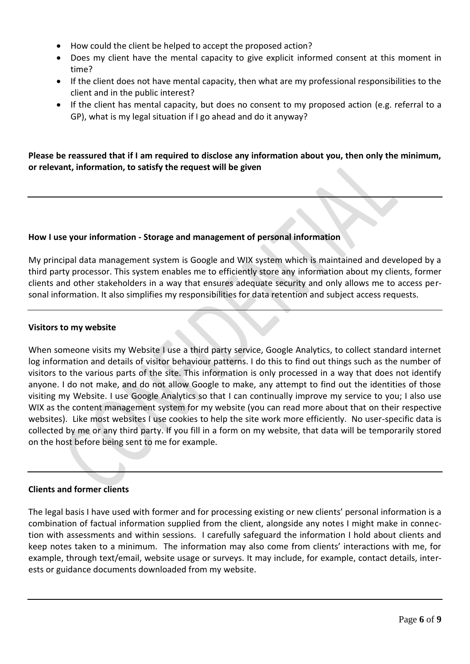- How could the client be helped to accept the proposed action?
- Does my client have the mental capacity to give explicit informed consent at this moment in time?
- If the client does not have mental capacity, then what are my professional responsibilities to the client and in the public interest?
- If the client has mental capacity, but does no consent to my proposed action (e.g. referral to a GP), what is my legal situation if I go ahead and do it anyway?

**Please be reassured that if I am required to disclose any information about you, then only the minimum, or relevant, information, to satisfy the request will be given**

### **How I use your information - Storage and management of personal information**

My principal data management system is Google and WIX system which is maintained and developed by a third party processor. This system enables me to efficiently store any information about my clients, former clients and other stakeholders in a way that ensures adequate security and only allows me to access personal information. It also simplifies my responsibilities for data retention and subject access requests.

#### **Visitors to my website**

When someone visits my Website I use a third party service, Google Analytics, to collect standard internet log information and details of visitor behaviour patterns. I do this to find out things such as the number of visitors to the various parts of the site. This information is only processed in a way that does not identify anyone. I do not make, and do not allow Google to make, any attempt to find out the identities of those visiting my Website. I use Google Analytics so that I can continually improve my service to you; I also use WIX as the content management system for my website (you can read more about that on their respective websites). Like most websites I use cookies to help the site work more efficiently. No user-specific data is collected by me or any third party. If you fill in a form on my website, that data will be temporarily stored on the host before being sent to me for example.

### **Clients and former clients**

The legal basis I have used with former and for processing existing or new clients' personal information is a combination of factual information supplied from the client, alongside any notes I might make in connection with assessments and within sessions. I carefully safeguard the information I hold about clients and keep notes taken to a minimum. The information may also come from clients' interactions with me, for example, through text/email, website usage or surveys. It may include, for example, contact details, interests or guidance documents downloaded from my website.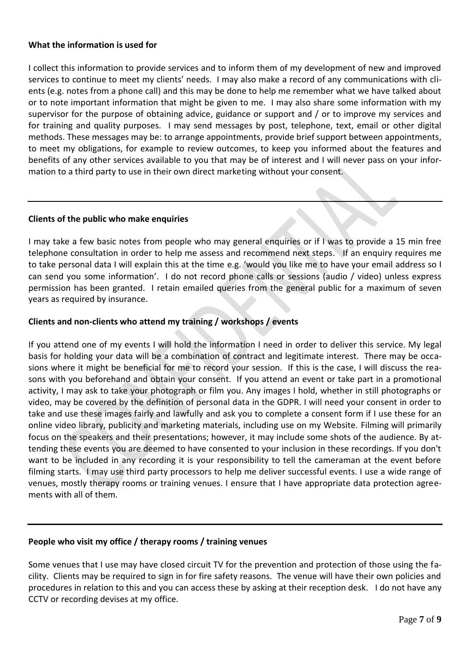### **What the information is used for**

I collect this information to provide services and to inform them of my development of new and improved services to continue to meet my clients' needs. I may also make a record of any communications with clients (e.g. notes from a phone call) and this may be done to help me remember what we have talked about or to note important information that might be given to me. I may also share some information with my supervisor for the purpose of obtaining advice, guidance or support and / or to improve my services and for training and quality purposes. I may send messages by post, telephone, text, email or other digital methods. These messages may be: to arrange appointments, provide brief support between appointments, to meet my obligations, for example to review outcomes, to keep you informed about the features and benefits of any other services available to you that may be of interest and I will never pass on your information to a third party to use in their own direct marketing without your consent.

#### **Clients of the public who make enquiries**

I may take a few basic notes from people who may general enquiries or if I was to provide a 15 min free telephone consultation in order to help me assess and recommend next steps. If an enquiry requires me to take personal data I will explain this at the time e.g. 'would you like me to have your email address so I can send you some information'. I do not record phone calls or sessions (audio / video) unless express permission has been granted. I retain emailed queries from the general public for a maximum of seven years as required by insurance.

### **Clients and non-clients who attend my training / workshops / events**

If you attend one of my events I will hold the information I need in order to deliver this service. My legal basis for holding your data will be a combination of contract and legitimate interest. There may be occasions where it might be beneficial for me to record your session. If this is the case, I will discuss the reasons with you beforehand and obtain your consent. If you attend an event or take part in a promotional activity, I may ask to take your photograph or film you. Any images I hold, whether in still photographs or video, may be covered by the definition of personal data in the GDPR. I will need your consent in order to take and use these images fairly and lawfully and ask you to complete a [consent](https://www.bacp.co.uk/media/2146/bacp-filming-photography-consent-form.docx) form if I use these for an online video library, publicity and marketing materials, including use on my Website. Filming will primarily focus on the speakers and their presentations; however, it may include some shots of the audience. By attending these events you are deemed to have consented to your inclusion in these recordings. If you don't want to be included in any recording it is your responsibility to tell the cameraman at the event before filming starts. I may use third party processors to help me deliver successful events. I use a wide range of venues, mostly therapy rooms or training venues. I ensure that I have appropriate data protection agreements with all of them.

### **People who visit my office / therapy rooms / training venues**

Some venues that I use may have closed circuit TV for the prevention and protection of those using the facility. Clients may be required to sign in for fire safety reasons. The venue will have their own policies and procedures in relation to this and you can access these by asking at their reception desk. I do not have any CCTV or recording devises at my office.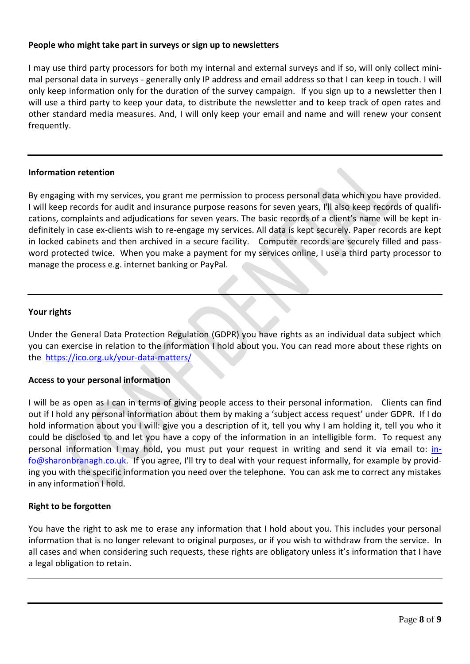# **People who might take part in surveys or sign up to newsletters**

I may use third party processors for both my internal and external surveys and if so, will only collect minimal personal data in surveys - generally only IP address and email address so that I can keep in touch. I will only keep information only for the duration of the survey campaign. If you sign up to a newsletter then I will use a third party to keep your data, to distribute the newsletter and to keep track of open rates and other standard media measures. And, I will only keep your email and name and will renew your consent frequently.

# **Information retention**

By engaging with my services, you grant me permission to process personal data which you have provided. I will keep records for audit and insurance purpose reasons for seven years, I'll also keep records of qualifications, complaints and adjudications for seven years. The basic records of a client's name will be kept indefinitely in case ex-clients wish to re-engage my services. All data is kept securely. Paper records are kept in locked cabinets and then archived in a secure facility. Computer records are securely filled and password protected twice. When you make a payment for my services online, I use a third party processor to manage the process e.g. internet banking or PayPal.

# **Your rights**

Under the General Data Protection Regulation (GDPR) you have rights as an individual data subject which you can exercise in relation to the information I hold about you. You can read more about these rights on the<https://ico.org.uk/your-data-matters/>

### **Access to your personal information**

I will be as open as I can in terms of giving people access to their personal information. Clients can find out if I hold any personal information about them by making a 'subject access request' under GDPR. If I do hold information about you I will: give you a description of it, tell you why I am holding it, tell you who it could be disclosed to and let you have a copy of the information in an intelligible form. To request any personal information I may hold, you must put your request in writing and send it via email to: [in](mailto:info@sharonbranagh.co.uk)[fo@sharonbranagh.co.uk.](mailto:info@sharonbranagh.co.uk) If you agree, I'll try to deal with your request informally, for example by providing you with the specific information you need over the telephone. You can ask me to correct any mistakes in any information I hold.

# **Right to be forgotten**

You have the right to ask me to erase any information that I hold about you. This includes your personal information that is no longer relevant to original purposes, or if you wish to withdraw from the service. In all cases and when considering such requests, these rights are obligatory unless it's information that I have a legal obligation to retain.